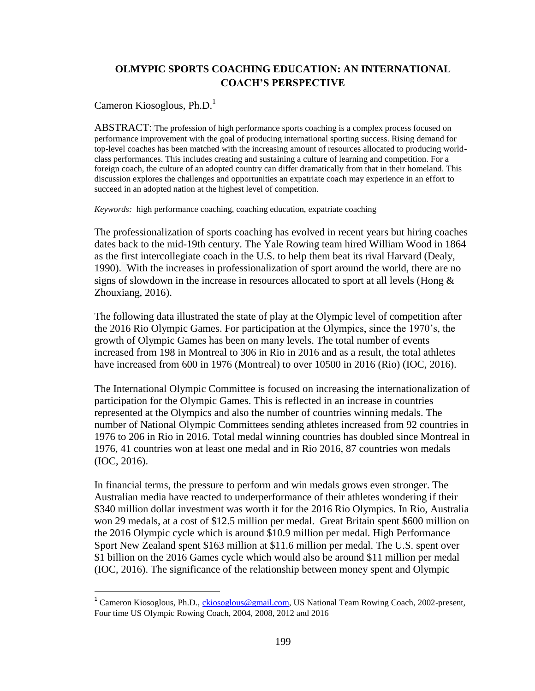# **OLMYPIC SPORTS COACHING EDUCATION: AN INTERNATIONAL COACH'S PERSPECTIVE**

Cameron Kiosoglous, Ph.D.<sup>1</sup>

l

ABSTRACT: The profession of high performance sports coaching is a complex process focused on performance improvement with the goal of producing international sporting success. Rising demand for top-level coaches has been matched with the increasing amount of resources allocated to producing worldclass performances. This includes creating and sustaining a culture of learning and competition. For a foreign coach, the culture of an adopted country can differ dramatically from that in their homeland. This discussion explores the challenges and opportunities an expatriate coach may experience in an effort to succeed in an adopted nation at the highest level of competition.

*Keywords:* high performance coaching, coaching education, expatriate coaching

The professionalization of sports coaching has evolved in recent years but hiring coaches dates back to the mid-19th century. The Yale Rowing team hired William Wood in 1864 as the first intercollegiate coach in the U.S. to help them beat its rival Harvard (Dealy, 1990). With the increases in professionalization of sport around the world, there are no signs of slowdown in the increase in resources allocated to sport at all levels (Hong  $\&$ Zhouxiang, 2016).

The following data illustrated the state of play at the Olympic level of competition after the 2016 Rio Olympic Games. For participation at the Olympics, since the 1970's, the growth of Olympic Games has been on many levels. The total number of events increased from 198 in Montreal to 306 in Rio in 2016 and as a result, the total athletes have increased from 600 in 1976 (Montreal) to over 10500 in 2016 (Rio) (IOC, 2016).

The International Olympic Committee is focused on increasing the internationalization of participation for the Olympic Games. This is reflected in an increase in countries represented at the Olympics and also the number of countries winning medals. The number of National Olympic Committees sending athletes increased from 92 countries in 1976 to 206 in Rio in 2016. Total medal winning countries has doubled since Montreal in 1976, 41 countries won at least one medal and in Rio 2016, 87 countries won medals (IOC, 2016).

In financial terms, the pressure to perform and win medals grows even stronger. The Australian media have reacted to underperformance of their athletes wondering if their \$340 million dollar investment was worth it for the 2016 Rio Olympics. In Rio, Australia won 29 medals, at a cost of \$12.5 million per medal. Great Britain spent \$600 million on the 2016 Olympic cycle which is around \$10.9 million per medal. High Performance Sport New Zealand spent \$163 million at \$11.6 million per medal. The U.S. spent over \$1 billion on the 2016 Games cycle which would also be around \$11 million per medal (IOC, 2016). The significance of the relationship between money spent and Olympic

<sup>&</sup>lt;sup>1</sup> Cameron Kiosoglous, Ph.D., [ckiosoglous@gmail.com,](mailto:ckiosoglous@gmail.com) US National Team Rowing Coach, 2002-present, Four time US Olympic Rowing Coach, 2004, 2008, 2012 and 2016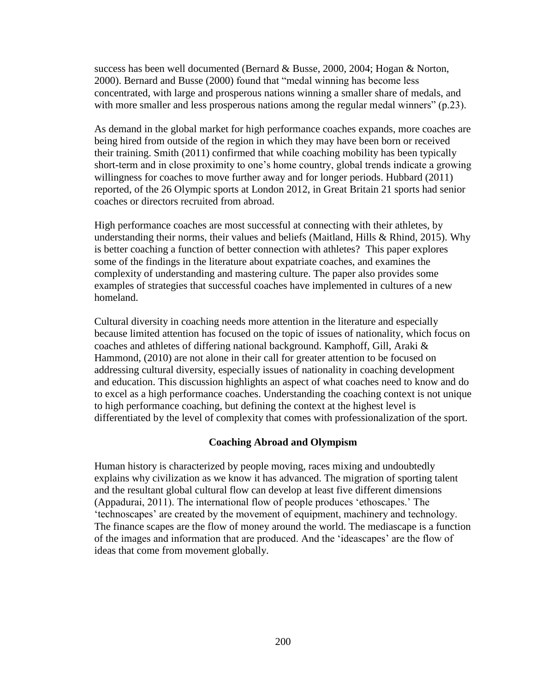success has been well documented (Bernard & Busse, 2000, 2004; Hogan & Norton, 2000). Bernard and Busse (2000) found that "medal winning has become less concentrated, with large and prosperous nations winning a smaller share of medals, and with more smaller and less prosperous nations among the regular medal winners" (p.23).

As demand in the global market for high performance coaches expands, more coaches are being hired from outside of the region in which they may have been born or received their training. Smith (2011) confirmed that while coaching mobility has been typically short-term and in close proximity to one's home country, global trends indicate a growing willingness for coaches to move further away and for longer periods. Hubbard (2011) reported, of the 26 Olympic sports at London 2012, in Great Britain 21 sports had senior coaches or directors recruited from abroad.

High performance coaches are most successful at connecting with their athletes, by understanding their norms, their values and beliefs (Maitland, Hills & Rhind, 2015). Why is better coaching a function of better connection with athletes? This paper explores some of the findings in the literature about expatriate coaches, and examines the complexity of understanding and mastering culture. The paper also provides some examples of strategies that successful coaches have implemented in cultures of a new homeland.

Cultural diversity in coaching needs more attention in the literature and especially because limited attention has focused on the topic of issues of nationality, which focus on coaches and athletes of differing national background. Kamphoff, Gill, Araki & Hammond, (2010) are not alone in their call for greater attention to be focused on addressing cultural diversity, especially issues of nationality in coaching development and education. This discussion highlights an aspect of what coaches need to know and do to excel as a high performance coaches. Understanding the coaching context is not unique to high performance coaching, but defining the context at the highest level is differentiated by the level of complexity that comes with professionalization of the sport.

### **Coaching Abroad and Olympism**

Human history is characterized by people moving, races mixing and undoubtedly explains why civilization as we know it has advanced. The migration of sporting talent and the resultant global cultural flow can develop at least five different dimensions (Appadurai, 2011). The international flow of people produces 'ethoscapes.' The 'technoscapes' are created by the movement of equipment, machinery and technology. The finance scapes are the flow of money around the world. The mediascape is a function of the images and information that are produced. And the 'ideascapes' are the flow of ideas that come from movement globally.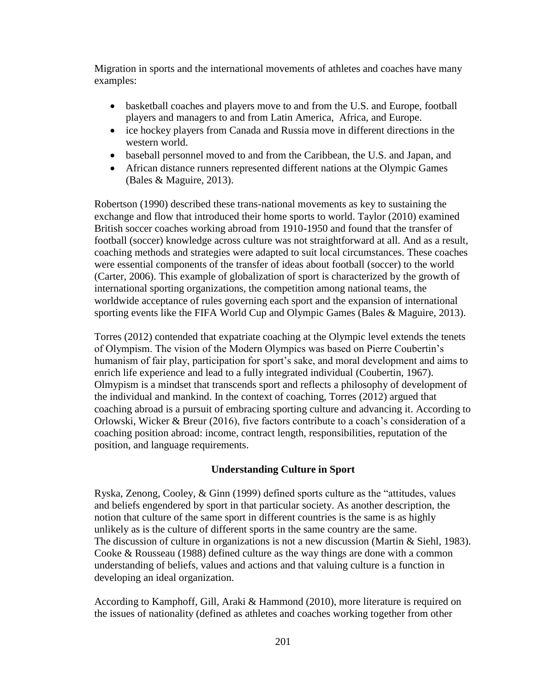Migration in sports and the international movements of athletes and coaches have many examples:

- basketball coaches and players move to and from the U.S. and Europe, football players and managers to and from Latin America, Africa, and Europe.
- ice hockey players from Canada and Russia move in different directions in the western world.
- baseball personnel moved to and from the Caribbean, the U.S. and Japan, and
- African distance runners represented different nations at the Olympic Games (Bales & Maguire, 2013).

Robertson (1990) described these trans-national movements as key to sustaining the exchange and flow that introduced their home sports to world. Taylor (2010) examined British soccer coaches working abroad from 1910-1950 and found that the transfer of football (soccer) knowledge across culture was not straightforward at all. And as a result, coaching methods and strategies were adapted to suit local circumstances. These coaches were essential components of the transfer of ideas about football (soccer) to the world (Carter, 2006). This example of globalization of sport is characterized by the growth of international sporting organizations, the competition among national teams, the worldwide acceptance of rules governing each sport and the expansion of international sporting events like the FIFA World Cup and Olympic Games (Bales & Maguire, 2013).

Torres (2012) contended that expatriate coaching at the Olympic level extends the tenets of Olympism. The vision of the Modern Olympics was based on Pierre Coubertin's humanism of fair play, participation for sport's sake, and moral development and aims to enrich life experience and lead to a fully integrated individual (Coubertin, 1967). Olmypism is a mindset that transcends sport and reflects a philosophy of development of the individual and mankind. In the context of coaching, Torres (2012) argued that coaching abroad is a pursuit of embracing sporting culture and advancing it. According to Orlowski, Wicker & Breur (2016), five factors contribute to a coach's consideration of a coaching position abroad: income, contract length, responsibilities, reputation of the position, and language requirements.

## **Understanding Culture in Sport**

Ryska, Zenong, Cooley, & Ginn (1999) defined sports culture as the "attitudes, values and beliefs engendered by sport in that particular society. As another description, the notion that culture of the same sport in different countries is the same is as highly unlikely as is the culture of different sports in the same country are the same. The discussion of culture in organizations is not a new discussion (Martin & Siehl, 1983). Cooke & Rousseau (1988) defined culture as the way things are done with a common understanding of beliefs, values and actions and that valuing culture is a function in developing an ideal organization.

According to Kamphoff, Gill, Araki & Hammond (2010), more literature is required on the issues of nationality (defined as athletes and coaches working together from other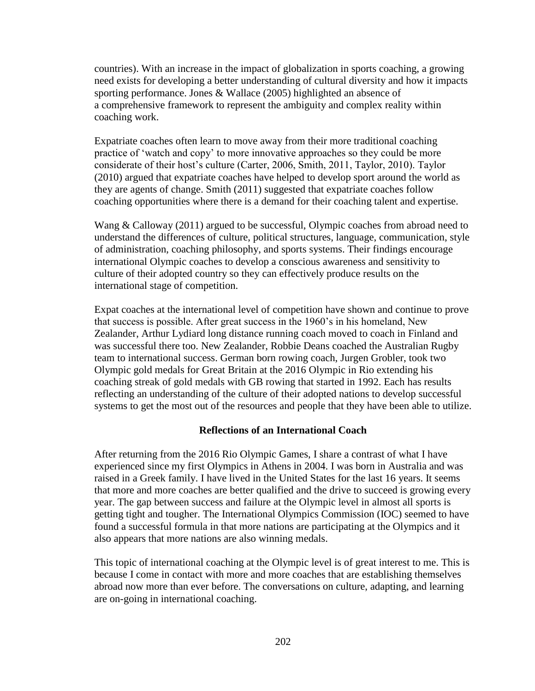countries). With an increase in the impact of globalization in sports coaching, a growing need exists for developing a better understanding of cultural diversity and how it impacts sporting performance. Jones & Wallace (2005) highlighted an absence of a comprehensive framework to represent the ambiguity and complex reality within coaching work.

Expatriate coaches often learn to move away from their more traditional coaching practice of 'watch and copy' to more innovative approaches so they could be more considerate of their host's culture (Carter, 2006, Smith, 2011, Taylor, 2010). Taylor (2010) argued that expatriate coaches have helped to develop sport around the world as they are agents of change. Smith (2011) suggested that expatriate coaches follow coaching opportunities where there is a demand for their coaching talent and expertise.

Wang & Calloway (2011) argued to be successful, Olympic coaches from abroad need to understand the differences of culture, political structures, language, communication, style of administration, coaching philosophy, and sports systems. Their findings encourage international Olympic coaches to develop a conscious awareness and sensitivity to culture of their adopted country so they can effectively produce results on the international stage of competition.

Expat coaches at the international level of competition have shown and continue to prove that success is possible. After great success in the 1960's in his homeland, New Zealander, Arthur Lydiard long distance running coach moved to coach in Finland and was successful there too. New Zealander, Robbie Deans coached the Australian Rugby team to international success. German born rowing coach, Jurgen Grobler, took two Olympic gold medals for Great Britain at the 2016 Olympic in Rio extending his coaching streak of gold medals with GB rowing that started in 1992. Each has results reflecting an understanding of the culture of their adopted nations to develop successful systems to get the most out of the resources and people that they have been able to utilize.

### **Reflections of an International Coach**

After returning from the 2016 Rio Olympic Games, I share a contrast of what I have experienced since my first Olympics in Athens in 2004. I was born in Australia and was raised in a Greek family. I have lived in the United States for the last 16 years. It seems that more and more coaches are better qualified and the drive to succeed is growing every year. The gap between success and failure at the Olympic level in almost all sports is getting tight and tougher. The International Olympics Commission (IOC) seemed to have found a successful formula in that more nations are participating at the Olympics and it also appears that more nations are also winning medals.

This topic of international coaching at the Olympic level is of great interest to me. This is because I come in contact with more and more coaches that are establishing themselves abroad now more than ever before. The conversations on culture, adapting, and learning are on-going in international coaching.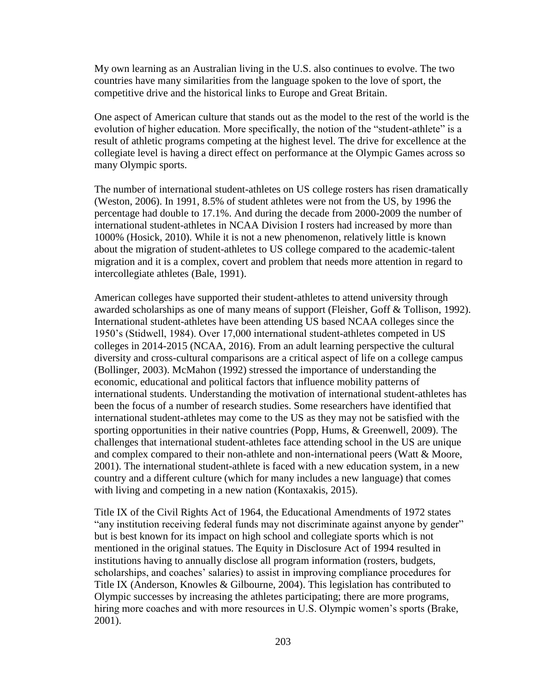My own learning as an Australian living in the U.S. also continues to evolve. The two countries have many similarities from the language spoken to the love of sport, the competitive drive and the historical links to Europe and Great Britain.

One aspect of American culture that stands out as the model to the rest of the world is the evolution of higher education. More specifically, the notion of the "student-athlete" is a result of athletic programs competing at the highest level. The drive for excellence at the collegiate level is having a direct effect on performance at the Olympic Games across so many Olympic sports.

The number of international student-athletes on US college rosters has risen dramatically (Weston, 2006). In 1991, 8.5% of student athletes were not from the US, by 1996 the percentage had double to 17.1%. And during the decade from 2000-2009 the number of international student-athletes in NCAA Division I rosters had increased by more than 1000% (Hosick, 2010). While it is not a new phenomenon, relatively little is known about the migration of student-athletes to US college compared to the academic-talent migration and it is a complex, covert and problem that needs more attention in regard to intercollegiate athletes (Bale, 1991).

American colleges have supported their student-athletes to attend university through awarded scholarships as one of many means of support (Fleisher, Goff & Tollison, 1992). International student-athletes have been attending US based NCAA colleges since the 1950's (Stidwell, 1984). Over 17,000 international student-athletes competed in US colleges in 2014-2015 (NCAA, 2016). From an adult learning perspective the cultural diversity and cross-cultural comparisons are a critical aspect of life on a college campus (Bollinger, 2003). McMahon (1992) stressed the importance of understanding the economic, educational and political factors that influence mobility patterns of international students. Understanding the motivation of international student-athletes has been the focus of a number of research studies. Some researchers have identified that international student-athletes may come to the US as they may not be satisfied with the sporting opportunities in their native countries (Popp, Hums, & Greenwell, 2009). The challenges that international student-athletes face attending school in the US are unique and complex compared to their non-athlete and non-international peers (Watt & Moore, 2001). The international student-athlete is faced with a new education system, in a new country and a different culture (which for many includes a new language) that comes with living and competing in a new nation (Kontaxakis, 2015).

Title IX of the Civil Rights Act of 1964, the Educational Amendments of 1972 states "any institution receiving federal funds may not discriminate against anyone by gender" but is best known for its impact on high school and collegiate sports which is not mentioned in the original statues. The Equity in Disclosure Act of 1994 resulted in institutions having to annually disclose all program information (rosters, budgets, scholarships, and coaches' salaries) to assist in improving compliance procedures for Title IX (Anderson, Knowles & Gilbourne, 2004). This legislation has contributed to Olympic successes by increasing the athletes participating; there are more programs, hiring more coaches and with more resources in U.S. Olympic women's sports (Brake, 2001).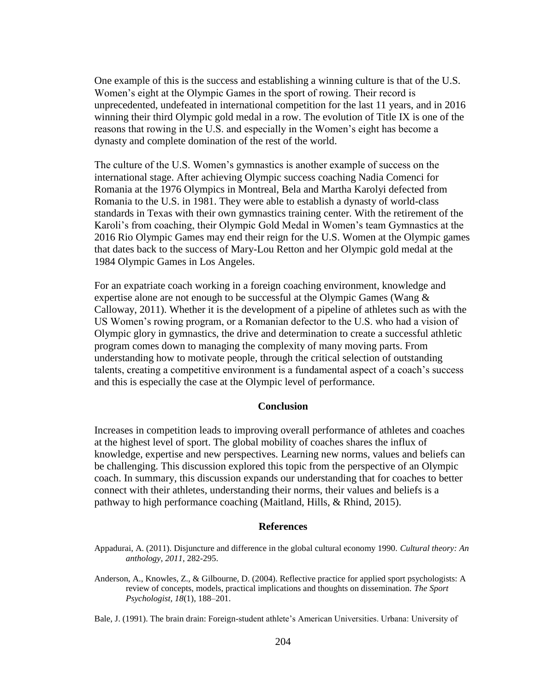One example of this is the success and establishing a winning culture is that of the U.S. Women's eight at the Olympic Games in the sport of rowing. Their record is unprecedented, undefeated in international competition for the last 11 years, and in 2016 winning their third Olympic gold medal in a row. The evolution of Title IX is one of the reasons that rowing in the U.S. and especially in the Women's eight has become a dynasty and complete domination of the rest of the world.

The culture of the U.S. Women's gymnastics is another example of success on the international stage. After achieving Olympic success coaching Nadia Comenci for Romania at the 1976 Olympics in Montreal, Bela and Martha Karolyi defected from Romania to the U.S. in 1981. They were able to establish a dynasty of world-class standards in Texas with their own gymnastics training center. With the retirement of the Karoli's from coaching, their Olympic Gold Medal in Women's team Gymnastics at the 2016 Rio Olympic Games may end their reign for the U.S. Women at the Olympic games that dates back to the success of Mary-Lou Retton and her Olympic gold medal at the 1984 Olympic Games in Los Angeles.

For an expatriate coach working in a foreign coaching environment, knowledge and expertise alone are not enough to be successful at the Olympic Games (Wang  $\&$ Calloway, 2011). Whether it is the development of a pipeline of athletes such as with the US Women's rowing program, or a Romanian defector to the U.S. who had a vision of Olympic glory in gymnastics, the drive and determination to create a successful athletic program comes down to managing the complexity of many moving parts. From understanding how to motivate people, through the critical selection of outstanding talents, creating a competitive environment is a fundamental aspect of a coach's success and this is especially the case at the Olympic level of performance.

#### **Conclusion**

Increases in competition leads to improving overall performance of athletes and coaches at the highest level of sport. The global mobility of coaches shares the influx of knowledge, expertise and new perspectives. Learning new norms, values and beliefs can be challenging. This discussion explored this topic from the perspective of an Olympic coach. In summary, this discussion expands our understanding that for coaches to better connect with their athletes, understanding their norms, their values and beliefs is a pathway to high performance coaching (Maitland, Hills, & Rhind, 2015).

#### **References**

Appadurai, A. (2011). Disjuncture and difference in the global cultural economy 1990. *Cultural theory: An anthology*, *2011*, 282-295.

Anderson, A., Knowles, Z., & Gilbourne, D. (2004). Reflective practice for applied sport psychologists: A review of concepts, models, practical implications and thoughts on dissemination. *The Sport Psychologist, 18*(1), 188–201.

Bale, J. (1991). The brain drain: Foreign-student athlete's American Universities. Urbana: University of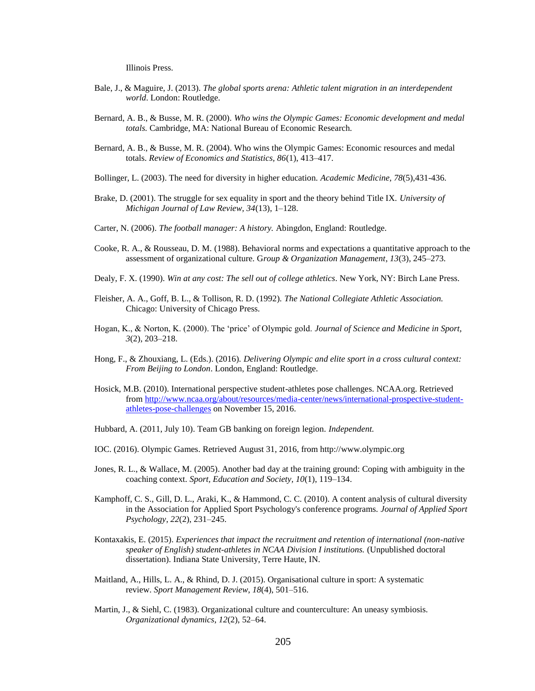Illinois Press.

- Bale, J., & Maguire, J. (2013). *The global sports arena: Athletic talent migration in an interdependent world*. London: Routledge.
- Bernard, A. B., & Busse, M. R. (2000). *Who wins the Olympic Games: Economic development and medal totals.* Cambridge, MA: National Bureau of Economic Research.
- Bernard, A. B., & Busse, M. R. (2004). Who wins the Olympic Games: Economic resources and medal totals. *Review of Economics and Statistics, 86*(1), 413–417.
- Bollinger, L. (2003). The need for diversity in higher education. *Academic Medicine, 78*(5),431-436.
- Brake, D. (2001). The struggle for sex equality in sport and the theory behind Title IX. *University of Michigan Journal of Law Review, 34*(13), 1–128.
- Carter, N. (2006). *The football manager: A history.* Abingdon, England: Routledge.
- Cooke, R. A., & Rousseau, D. M. (1988). Behavioral norms and expectations a quantitative approach to the assessment of organizational culture. G*roup & Organization Management*, *13*(3), 245–273.
- Dealy, F. X. (1990). *Win at any cost: The sell out of college athletics*. New York, NY: Birch Lane Press.
- Fleisher, A. A., Goff, B. L., & Tollison, R. D. (1992). *The National Collegiate Athletic Association.* Chicago: University of Chicago Press.
- Hogan, K., & Norton, K. (2000). The 'price' of Olympic gold. *Journal of Science and Medicine in Sport, 3*(2), 203–218.
- Hong, F., & Zhouxiang, L. (Eds.). (2016). *Delivering Olympic and elite sport in a cross cultural context: From Beijing to London*. London, England: Routledge.
- Hosick, M.B. (2010). International perspective student-athletes pose challenges. [NCAA.org.](http://ncaa.org/) Retrieved from [http://www.ncaa.org/about/resources/media-center/news/international-prospective-student](http://www.ncaa.org/about/resources/media-center/news/international-prospective-student-athletes-pose-challenges)[athletes-pose-challenges](http://www.ncaa.org/about/resources/media-center/news/international-prospective-student-athletes-pose-challenges) on November 15, 2016.
- Hubbard, A. (2011, July 10). Team GB banking on foreign legion. *Independent.*
- IOC. (2016). Olympic Games. Retrieved August 31, 2016, from http://www.olympic.org
- Jones, R. L., & Wallace, M. (2005). Another bad day at the training ground: Coping with ambiguity in the coaching context. *Sport, Education and Society, 10*(1), 119–134.
- Kamphoff, C. S., Gill, D. L., Araki, K., & Hammond, C. C. (2010). A content analysis of cultural diversity in the Association for Applied Sport Psychology's conference programs. *Journal of Applied Sport Psychology*, *22*(2), 231–245.
- Kontaxakis, E. (2015). *Experiences that impact the recruitment and retention of international (non-native speaker of English) student-athletes in NCAA Division I institutions.* (Unpublished doctoral dissertation). Indiana State University, Terre Haute, IN.
- Maitland, A., Hills, L. A., & Rhind, D. J. (2015). Organisational culture in sport: A systematic review. *Sport Management Review*, *18*(4), 501–516.
- Martin, J., & Siehl, C. (1983). Organizational culture and counterculture: An uneasy symbiosis. *Organizational dynamics*, *12*(2), 52–64.